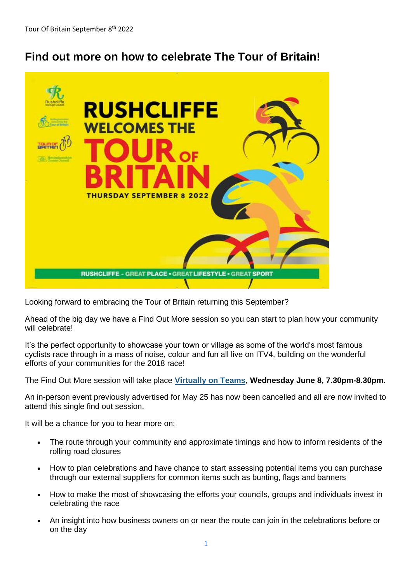## **Find out more on how to celebrate The Tour of Britain!**



Looking forward to embracing the Tour of Britain returning this September?

Ahead of the big day we have a Find Out More session so you can start to plan how your community will celebrate!

It's the perfect opportunity to showcase your town or village as some of the world's most famous cyclists race through in a mass of noise, colour and fun all live on ITV4, building on the wonderful efforts of your communities for the 2018 race!

The Find Out More session will take place **[Virtually on Teams,](https://lnks.gd/l/eyJhbGciOiJIUzI1NiJ9.eyJidWxsZXRpbl9saW5rX2lkIjoxMDEsInVyaSI6ImJwMjpjbGljayIsImJ1bGxldGluX2lkIjoiMjAyMjA1MTguNTgwNjgyODEiLCJ1cmwiOiJodHRwczovL3RlYW1zLm1pY3Jvc29mdC5jb20vbC9tZWV0dXAtam9pbi8xOSUzYW1lZXRpbmdfWW1FMk56YzFZemd0T1Rka01TMDBZVFpqTFRneU5XTXROamM0TW1FNE16bGhZakprJTQwdGhyZWFkLnYyLzA_Y29udGV4dD0lN2IlMjJUaWQlMjIlM2ElMjIwZmIyNmY5NS1iMjlkLTQ4MjUtYTQxYS04NmM3NWVhMTI0NmElMjIlMmMlMjJPaWQlMjIlM2ElMjI5NzhlYjI5OC0zYjkzLTQ4YjItOGFlMS0zMzM1MWZhZDU0ZmMlMjIlN2QifQ.jA7T7O0SxCNQ1UFoajJIjle-xpf3CdCu-UuMr4fn224/s/1510424083/br/131492559749-l) Wednesday June 8, 7.30pm-8.30pm.**

An in-person event previously advertised for May 25 has now been cancelled and all are now invited to attend this single find out session.

It will be a chance for you to hear more on:

- The route through your community and approximate timings and how to inform residents of the rolling road closures
- How to plan celebrations and have chance to start assessing potential items you can purchase through our external suppliers for common items such as bunting, flags and banners
- How to make the most of showcasing the efforts your councils, groups and individuals invest in celebrating the race
- An insight into how business owners on or near the route can join in the celebrations before or on the day